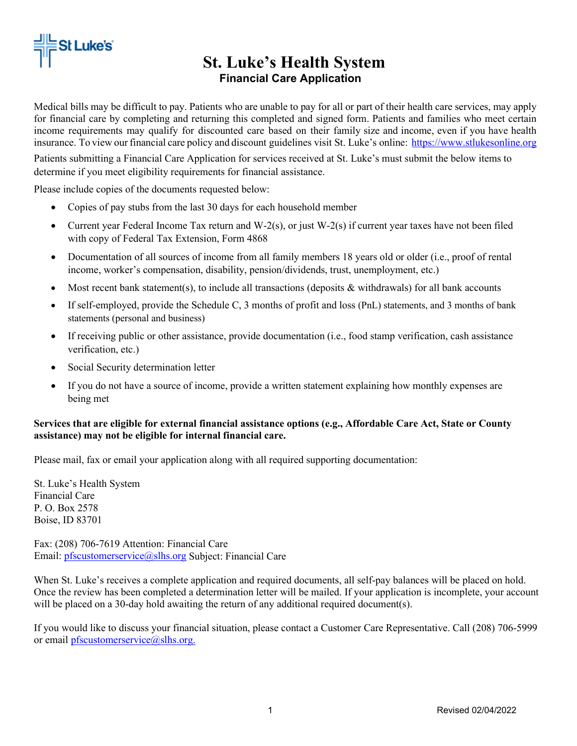

# **St. Luke's Health System Financial Care Application**

Medical bills may be difficult to pay. Patients who are unable to pay for all or part of their health care services, may apply for financial care by completing and returning this completed and signed form. Patients and families who meet certain income requirements may qualify for discounted care based on their family size and income, even if you have health insurance. To view our financial care policy and discount guidelines visit St. Luke's online: https:/[/www.stlukesonline.org](http://www.stlukesonline.org/)

Patients submitting a Financial Care Application for services received at St. Luke's must submit the below items to determine if you meet eligibility requirements for financial assistance.

Please include copies of the documents requested below:

- Copies of pay stubs from the last 30 days for each household member
- Current year Federal Income Tax return and W-2(s), or just W-2(s) if current year taxes have not been filed with copy of Federal Tax Extension, Form 4868
- Documentation of all sources of income from all family members 18 years old or older (i.e., proof of rental income, worker's compensation, disability, pension/dividends, trust, unemployment, etc.)
- Most recent bank statement(s), to include all transactions (deposits  $\&$  withdrawals) for all bank accounts
- If self-employed, provide the Schedule C, 3 months of profit and loss (PnL) statements, and 3 months of bank statements (personal and business)
- If receiving public or other assistance, provide documentation (i.e., food stamp verification, cash assistance verification, etc.)
- Social Security determination letter
- If you do not have a source of income, provide a written statement explaining how monthly expenses are being met

#### **Services that are eligible for external financial assistance options (e.g., Affordable Care Act, State or County assistance) may not be eligible for internal financial care.**

Please mail, fax or email your application along with all required supporting documentation:

St. Luke's Health System Financial Care P. O. Box 2578 Boise, ID 83701

Fax: (208) 706-7619 Attention: Financial Care Email: [pfscustomerservice@slhs.org](mailto:pfscustomerservice@slhs.org) Subject: Financial Care

When St. Luke's receives a complete application and required documents, all self-pay balances will be placed on hold. Once the review has been completed a determination letter will be mailed. If your application is incomplete, your account will be placed on a 30-day hold awaiting the return of any additional required document(s).

If you would like to discuss your financial situation, please contact a Customer Care Representative. Call (208) 706-5999 or email [pfscustomerservice@slhs.org.](mailto:pfscustomerservice@slhs.org)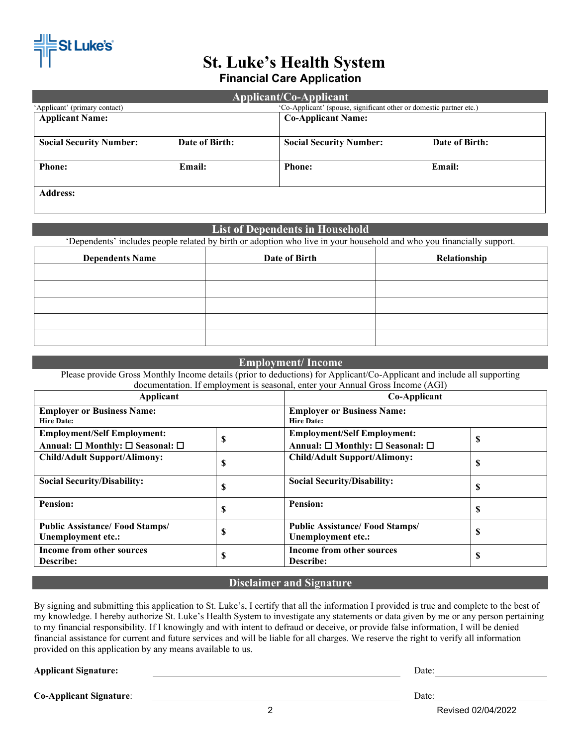

### **St. Luke's Health System Financial Care Application**

| Applicant/Co-Applicant                                                                               |                           |                                |                |  |  |  |
|------------------------------------------------------------------------------------------------------|---------------------------|--------------------------------|----------------|--|--|--|
| 'Co-Applicant' (spouse, significant other or domestic partner etc.)<br>'Applicant' (primary contact) |                           |                                |                |  |  |  |
| <b>Applicant Name:</b>                                                                               | <b>Co-Applicant Name:</b> |                                |                |  |  |  |
|                                                                                                      |                           |                                |                |  |  |  |
| <b>Social Security Number:</b>                                                                       | Date of Birth:            | <b>Social Security Number:</b> | Date of Birth: |  |  |  |
|                                                                                                      |                           |                                |                |  |  |  |
| <b>Phone:</b>                                                                                        | Email:                    | <b>Phone:</b>                  | Email:         |  |  |  |
|                                                                                                      |                           |                                |                |  |  |  |
| <b>Address:</b>                                                                                      |                           |                                |                |  |  |  |

### **List of Dependents in Household**

'Dependents' includes people related by birth or adoption who live in your household and who you financially support.

| <b>Dependents Name</b> | Date of Birth | Relationship |
|------------------------|---------------|--------------|
|                        |               |              |
|                        |               |              |
|                        |               |              |
|                        |               |              |
|                        |               |              |

#### **Employment/ Income**

Please provide Gross Monthly Income details (prior to deductions) for Applicant/Co-Applicant and include all supporting documentation. If employment is seasonal, enter your Annual Gross Income (AGI)

| Applicant<br><b>Employer or Business Name:</b><br><b>Hire Date:</b> |   | Co-Applicant<br><b>Employer or Business Name:</b><br><b>Hire Date:</b> |   |  |
|---------------------------------------------------------------------|---|------------------------------------------------------------------------|---|--|
|                                                                     |   |                                                                        |   |  |
| <b>Child/Adult Support/Alimony:</b>                                 | S | <b>Child/Adult Support/Alimony:</b>                                    | D |  |
| <b>Social Security/Disability:</b>                                  | S | <b>Social Security/Disability:</b>                                     | э |  |
| Pension:                                                            | D | Pension:                                                               | э |  |
| <b>Public Assistance/Food Stamps/</b><br>Unemployment etc.:         | S | <b>Public Assistance/ Food Stamps/</b><br>Unemployment etc.:           | Э |  |
| <b>Income from other sources</b><br><b>Describe:</b>                | S | Income from other sources<br><b>Describe:</b>                          |   |  |

#### **Disclaimer and Signature**

By signing and submitting this application to St. Luke's, I certify that all the information I provided is true and complete to the best of my knowledge. I hereby authorize St. Luke's Health System to investigate any statements or data given by me or any person pertaining to my financial responsibility. If I knowingly and with intent to defraud or deceive, or provide false information, I will be denied financial assistance for current and future services and will be liable for all charges. We reserve the right to verify all information provided on this application by any means available to us.

**Applicant Signature:** Date:

**Co-Applicant Signature**: Date:

2 Revised 02/04/2022